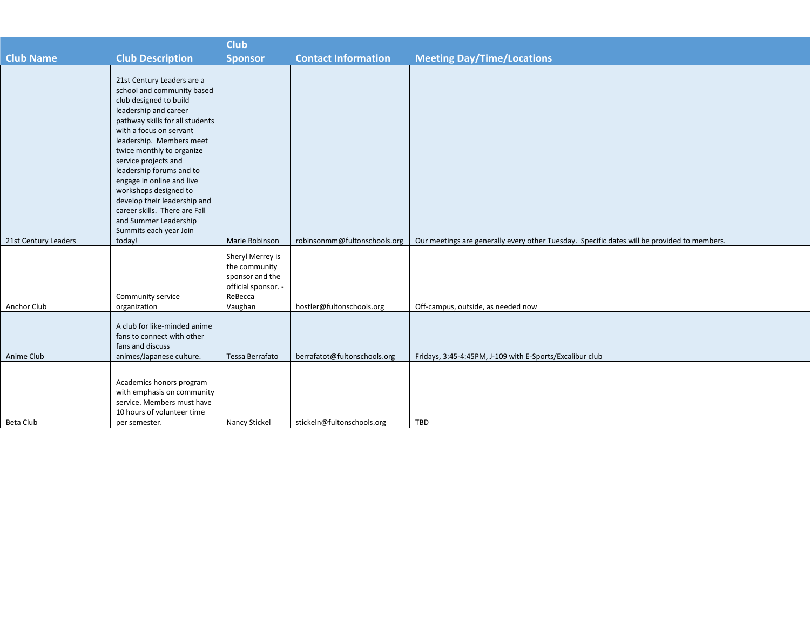|                      |                                                                                                                                                                                                                                                                                                                                                                                                                                                                  | <b>Club</b>                                                                            |                              |                                                                                             |
|----------------------|------------------------------------------------------------------------------------------------------------------------------------------------------------------------------------------------------------------------------------------------------------------------------------------------------------------------------------------------------------------------------------------------------------------------------------------------------------------|----------------------------------------------------------------------------------------|------------------------------|---------------------------------------------------------------------------------------------|
| <b>Club Name</b>     | <b>Club Description</b>                                                                                                                                                                                                                                                                                                                                                                                                                                          | <b>Sponsor</b>                                                                         | <b>Contact Information</b>   | <b>Meeting Day/Time/Locations</b>                                                           |
|                      | 21st Century Leaders are a<br>school and community based<br>club designed to build<br>leadership and career<br>pathway skills for all students<br>with a focus on servant<br>leadership. Members meet<br>twice monthly to organize<br>service projects and<br>leadership forums and to<br>engage in online and live<br>workshops designed to<br>develop their leadership and<br>career skills. There are Fall<br>and Summer Leadership<br>Summits each year Join |                                                                                        |                              |                                                                                             |
| 21st Century Leaders | today!                                                                                                                                                                                                                                                                                                                                                                                                                                                           | Marie Robinson                                                                         | robinsonmm@fultonschools.org | Our meetings are generally every other Tuesday. Specific dates will be provided to members. |
|                      | Community service                                                                                                                                                                                                                                                                                                                                                                                                                                                | Sheryl Merrey is<br>the community<br>sponsor and the<br>official sponsor. -<br>ReBecca |                              |                                                                                             |
| Anchor Club          | organization                                                                                                                                                                                                                                                                                                                                                                                                                                                     | Vaughan                                                                                | hostler@fultonschools.org    | Off-campus, outside, as needed now                                                          |
| Anime Club           | A club for like-minded anime<br>fans to connect with other<br>fans and discuss<br>animes/Japanese culture.                                                                                                                                                                                                                                                                                                                                                       | Tessa Berrafato                                                                        | berrafatot@fultonschools.org | Fridays, 3:45-4:45PM, J-109 with E-Sports/Excalibur club                                    |
| Beta Club            | Academics honors program<br>with emphasis on community<br>service. Members must have<br>10 hours of volunteer time<br>per semester.                                                                                                                                                                                                                                                                                                                              | Nancy Stickel                                                                          | stickeln@fultonschools.org   | TBD                                                                                         |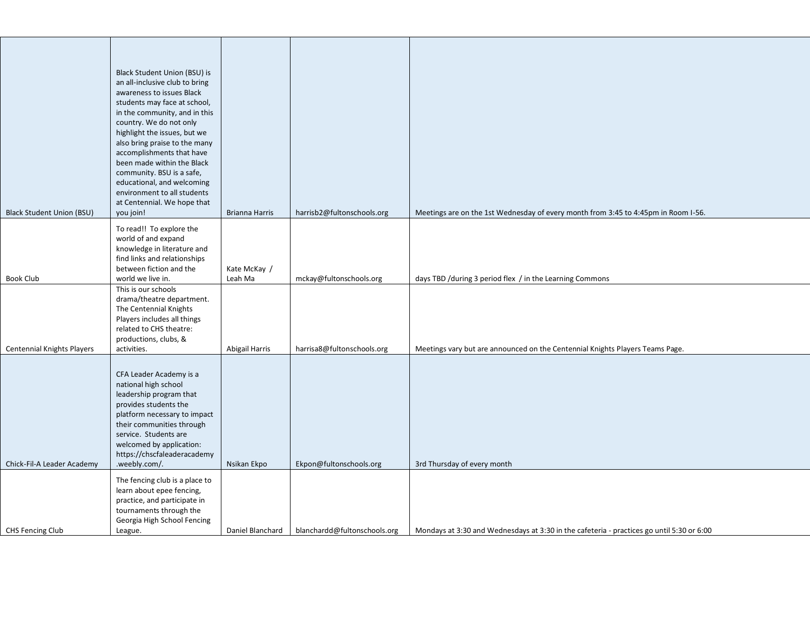| <b>Black Student Union (BSU)</b> | Black Student Union (BSU) is<br>an all-inclusive club to bring<br>awareness to issues Black<br>students may face at school,<br>in the community, and in this<br>country. We do not only<br>highlight the issues, but we<br>also bring praise to the many<br>accomplishments that have<br>been made within the Black<br>community. BSU is a safe,<br>educational, and welcoming<br>environment to all students<br>at Centennial. We hope that<br>you join!<br>To read!! To explore the | Brianna Harris          | harrisb2@fultonschools.org   | Meetings are on the 1st Wednesday of every month from 3:45 to 4:45pm in Room I-56.        |
|----------------------------------|---------------------------------------------------------------------------------------------------------------------------------------------------------------------------------------------------------------------------------------------------------------------------------------------------------------------------------------------------------------------------------------------------------------------------------------------------------------------------------------|-------------------------|------------------------------|-------------------------------------------------------------------------------------------|
| <b>Book Club</b>                 | world of and expand<br>knowledge in literature and<br>find links and relationships<br>between fiction and the<br>world we live in.                                                                                                                                                                                                                                                                                                                                                    | Kate McKay /<br>Leah Ma | mckay@fultonschools.org      | days TBD /during 3 period flex / in the Learning Commons                                  |
| Centennial Knights Players       | This is our schools<br>drama/theatre department.<br>The Centennial Knights<br>Players includes all things<br>related to CHS theatre:<br>productions, clubs, &<br>activities.                                                                                                                                                                                                                                                                                                          | Abigail Harris          | harrisa8@fultonschools.org   | Meetings vary but are announced on the Centennial Knights Players Teams Page.             |
| Chick-Fil-A Leader Academy       | CFA Leader Academy is a<br>national high school<br>leadership program that<br>provides students the<br>platform necessary to impact<br>their communities through<br>service. Students are<br>welcomed by application:<br>https://chscfaleaderacademy<br>.weebly.com/.                                                                                                                                                                                                                 | Nsikan Ekpo             | Ekpon@fultonschools.org      | 3rd Thursday of every month                                                               |
| CHS Fencing Club                 | The fencing club is a place to<br>learn about epee fencing,<br>practice, and participate in<br>tournaments through the<br>Georgia High School Fencing<br>League.                                                                                                                                                                                                                                                                                                                      | Daniel Blanchard        | blanchardd@fultonschools.org | Mondays at 3:30 and Wednesdays at 3:30 in the cafeteria - practices go until 5:30 or 6:00 |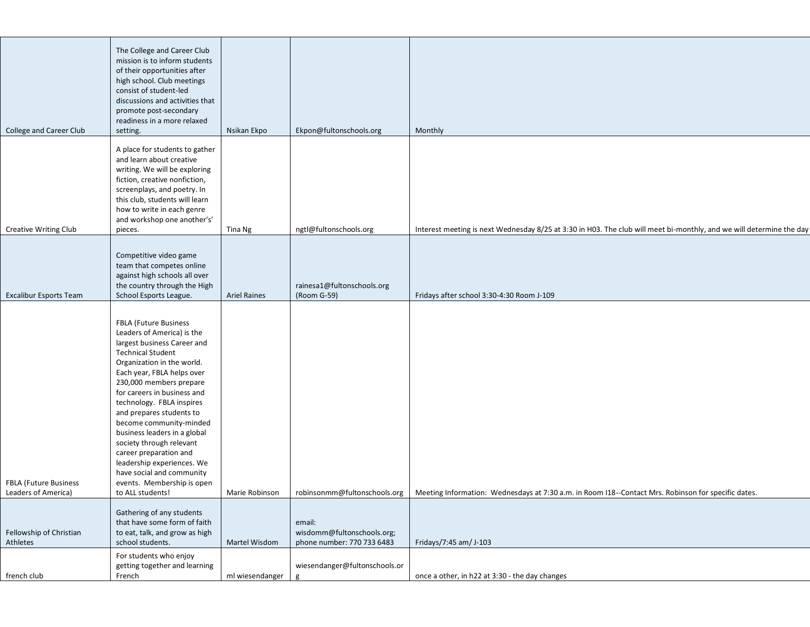| College and Career Club                      | The College and Career Club<br>mission is to inform students<br>of their opportunities after<br>high school. Club meetings<br>consist of student-led<br>discussions and activities that<br>promote post-secondary<br>readiness in a more relaxed<br>setting.                                                                                                                                                                                                                                                                       | Nsikan Ekpo         | Ekpon@fultonschools.org                                            | Monthly                                                                                                                                             |
|----------------------------------------------|------------------------------------------------------------------------------------------------------------------------------------------------------------------------------------------------------------------------------------------------------------------------------------------------------------------------------------------------------------------------------------------------------------------------------------------------------------------------------------------------------------------------------------|---------------------|--------------------------------------------------------------------|-----------------------------------------------------------------------------------------------------------------------------------------------------|
|                                              |                                                                                                                                                                                                                                                                                                                                                                                                                                                                                                                                    |                     |                                                                    |                                                                                                                                                     |
|                                              | A place for students to gather<br>and learn about creative<br>writing. We will be exploring<br>fiction, creative nonfiction,<br>screenplays, and poetry. In<br>this club, students will learn<br>how to write in each genre<br>and workshop one another's'                                                                                                                                                                                                                                                                         |                     |                                                                    |                                                                                                                                                     |
| <b>Creative Writing Club</b>                 | pieces.                                                                                                                                                                                                                                                                                                                                                                                                                                                                                                                            | Tina Ng             | ngtl@fultonschools.org                                             | Interest meeting is next Wednesday 8/25 at 3:30 in H03. The club will meet bi-monthly, and we will determine the day                                |
| <b>Excalibur Esports Team</b>                | Competitive video game<br>team that competes online<br>against high schools all over<br>the country through the High<br>School Esports League.                                                                                                                                                                                                                                                                                                                                                                                     | <b>Ariel Raines</b> | rainesa1@fultonschools.org<br>(Room G-59)                          | Fridays after school 3:30-4:30 Room J-109                                                                                                           |
| FBLA (Future Business<br>Leaders of America) | <b>FBLA (Future Business</b><br>Leaders of America) is the<br>largest business Career and<br><b>Technical Student</b><br>Organization in the world.<br>Each year, FBLA helps over<br>230,000 members prepare<br>for careers in business and<br>technology. FBLA inspires<br>and prepares students to<br>become community-minded<br>business leaders in a global<br>society through relevant<br>career preparation and<br>leadership experiences. We<br>have social and community<br>events. Membership is open<br>to ALL students! |                     |                                                                    | Marie Robinson   robinsonmm@fultonschools.org   Meeting Information: Wednesdays at 7:30 a.m. in Room I18--Contact Mrs. Robinson for specific dates. |
| Fellowship of Christian<br>Athletes          | Gathering of any students<br>that have some form of faith<br>to eat, talk, and grow as high<br>school students.                                                                                                                                                                                                                                                                                                                                                                                                                    | Martel Wisdom       | email:<br>wisdomm@fultonschools.org;<br>phone number: 770 733 6483 | Fridays/7:45 am/ J-103                                                                                                                              |
|                                              | For students who enjoy                                                                                                                                                                                                                                                                                                                                                                                                                                                                                                             |                     |                                                                    |                                                                                                                                                     |
|                                              | getting together and learning                                                                                                                                                                                                                                                                                                                                                                                                                                                                                                      |                     | wiesendanger@fultonschools.or                                      |                                                                                                                                                     |
| french club                                  | French                                                                                                                                                                                                                                                                                                                                                                                                                                                                                                                             | ml wiesendanger     | g                                                                  | once a other, in h22 at 3:30 - the day changes                                                                                                      |
|                                              |                                                                                                                                                                                                                                                                                                                                                                                                                                                                                                                                    |                     |                                                                    |                                                                                                                                                     |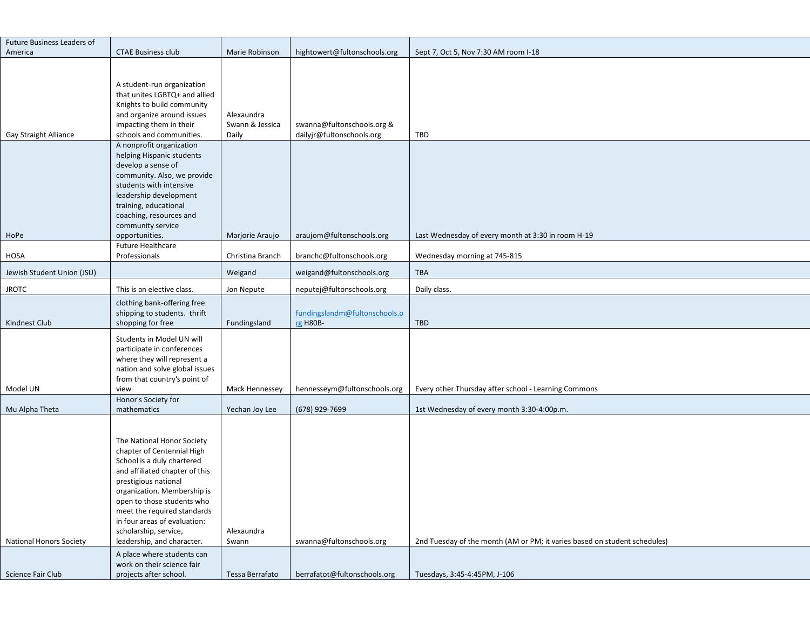| Future Business Leaders of     |                                                                                                                                                                                                                                                                                                                                     |                                        |                                                         |                                                                           |
|--------------------------------|-------------------------------------------------------------------------------------------------------------------------------------------------------------------------------------------------------------------------------------------------------------------------------------------------------------------------------------|----------------------------------------|---------------------------------------------------------|---------------------------------------------------------------------------|
| America                        | <b>CTAE Business club</b>                                                                                                                                                                                                                                                                                                           | Marie Robinson                         | hightowert@fultonschools.org                            | Sept 7, Oct 5, Nov 7:30 AM room I-18                                      |
| Gay Straight Alliance          | A student-run organization<br>that unites LGBTQ+ and allied<br>Knights to build community<br>and organize around issues<br>impacting them in their<br>schools and communities.                                                                                                                                                      | Alexaundra<br>Swann & Jessica<br>Daily | swanna@fultonschools.org &<br>dailyjr@fultonschools.org | TBD                                                                       |
|                                | A nonprofit organization<br>helping Hispanic students<br>develop a sense of<br>community. Also, we provide<br>students with intensive<br>leadership development<br>training, educational<br>coaching, resources and<br>community service                                                                                            |                                        |                                                         |                                                                           |
| HoPe                           | opportunities.<br><b>Future Healthcare</b>                                                                                                                                                                                                                                                                                          | Marjorie Araujo                        | araujom@fultonschools.org                               | Last Wednesday of every month at 3:30 in room H-19                        |
| <b>HOSA</b>                    | Professionals                                                                                                                                                                                                                                                                                                                       | Christina Branch                       | branchc@fultonschools.org                               | Wednesday morning at 745-815                                              |
| Jewish Student Union (JSU)     |                                                                                                                                                                                                                                                                                                                                     | Weigand                                | weigand@fultonschools.org                               | <b>TBA</b>                                                                |
| <b>JROTC</b>                   | This is an elective class.                                                                                                                                                                                                                                                                                                          | Jon Nepute                             | neputej@fultonschools.org                               | Daily class.                                                              |
| Kindnest Club                  | clothing bank-offering free<br>shipping to students. thrift<br>shopping for free                                                                                                                                                                                                                                                    | Fundingsland                           | fundingslandm@fultonschools.o<br>rg H80B-               | <b>TBD</b>                                                                |
| Model UN                       | Students in Model UN will<br>participate in conferences<br>where they will represent a<br>nation and solve global issues<br>from that country's point of<br>view                                                                                                                                                                    | Mack Hennessey                         | hennesseym@fultonschools.org                            | Every other Thursday after school - Learning Commons                      |
| Mu Alpha Theta                 | Honor's Society for<br>mathematics                                                                                                                                                                                                                                                                                                  | Yechan Joy Lee                         | (678) 929-7699                                          | 1st Wednesday of every month 3:30-4:00p.m.                                |
| <b>National Honors Society</b> | The National Honor Society<br>chapter of Centennial High<br>School is a duly chartered<br>and affiliated chapter of this<br>prestigious national<br>organization. Membership is<br>open to those students who<br>meet the required standards<br>in four areas of evaluation:<br>scholarship, service,<br>leadership, and character. | Alexaundra<br>Swann                    | swanna@fultonschools.org                                | 2nd Tuesday of the month (AM or PM; it varies based on student schedules) |
|                                | A place where students can<br>work on their science fair                                                                                                                                                                                                                                                                            |                                        |                                                         |                                                                           |
| Science Fair Club              | projects after school.                                                                                                                                                                                                                                                                                                              | Tessa Berrafato                        | berrafatot@fultonschools.org                            | Tuesdays, 3:45-4:45PM, J-106                                              |